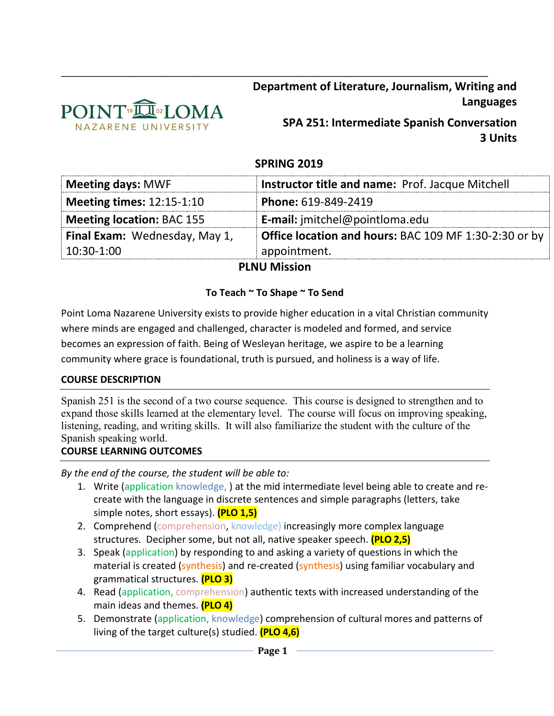

**Department of Literature, Journalism, Writing and Languages**

> **SPA 251: Intermediate Spanish Conversation 3 Units**

# **SPRING 2019**

\_\_\_\_\_\_\_\_\_\_\_\_\_\_\_\_\_\_\_\_\_\_\_\_\_\_\_\_\_\_\_\_\_\_\_\_\_\_\_\_\_\_\_\_\_\_\_\_\_\_\_\_\_\_\_\_\_\_\_\_\_\_\_\_\_\_\_\_\_\_\_\_\_\_\_\_\_\_\_

| <b>Meeting days: MWF</b>             | Instructor title and name: Prof. Jacque Mitchell             |
|--------------------------------------|--------------------------------------------------------------|
| <b>Meeting times: 12:15-1:10</b>     | Phone: 619-849-2419                                          |
| <b>Meeting location: BAC 155</b>     | <b>E-mail:</b> jmitchel@pointloma.edu                        |
| <b>Final Exam:</b> Wednesday, May 1, | <b>Office location and hours: BAC 109 MF 1:30-2:30 or by</b> |
| $10:30-1:00$                         | appointment.                                                 |

#### **PLNU Mission**

## **To Teach ~ To Shape ~ To Send**

Point Loma Nazarene University exists to provide higher education in a vital Christian community where minds are engaged and challenged, character is modeled and formed, and service becomes an expression of faith. Being of Wesleyan heritage, we aspire to be a learning community where grace is foundational, truth is pursued, and holiness is a way of life.

#### **COURSE DESCRIPTION**

Spanish 251 is the second of a two course sequence. This course is designed to strengthen and to expand those skills learned at the elementary level. The course will focus on improving speaking, listening, reading, and writing skills. It will also familiarize the student with the culture of the Spanish speaking world.

#### **COURSE LEARNING OUTCOMES**

*By the end of the course, the student will be able to:*

- 1. Write (application knowledge, ) at the mid intermediate level being able to create and recreate with the language in discrete sentences and simple paragraphs (letters, take simple notes, short essays). **(PLO 1,5)**
- 2. Comprehend (comprehension, knowledge) increasingly more complex language structures. Decipher some, but not all, native speaker speech. **(PLO 2,5)**
- 3. Speak (application) by responding to and asking a variety of questions in which the material is created (synthesis) and re-created (synthesis) using familiar vocabulary and grammatical structures. **(PLO 3)**
- 4. Read (application, comprehension) authentic texts with increased understanding of the main ideas and themes. **(PLO 4)**
- 5. Demonstrate (application, knowledge) comprehension of cultural mores and patterns of living of the target culture(s) studied. **(PLO 4,6)**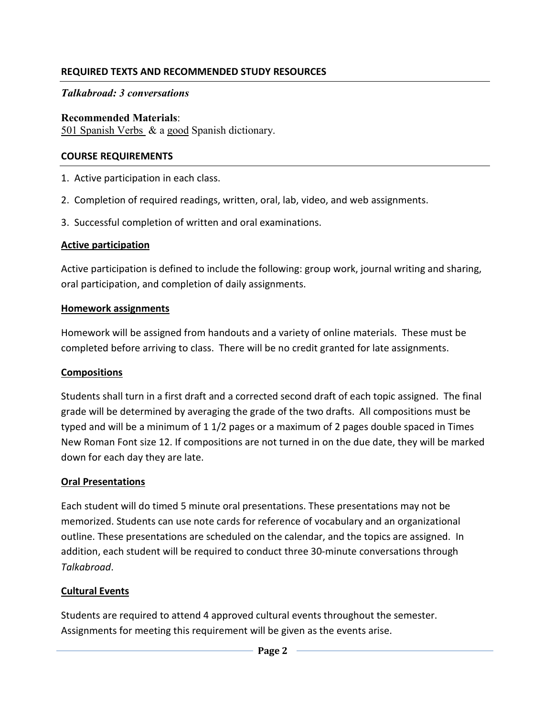#### **REQUIRED TEXTS AND RECOMMENDED STUDY RESOURCES**

#### *Talkabroad: 3 conversations*

#### **Recommended Materials**:

501 Spanish Verbs & a good Spanish dictionary.

#### **COURSE REQUIREMENTS**

- 1. Active participation in each class.
- 2. Completion of required readings, written, oral, lab, video, and web assignments.
- 3. Successful completion of written and oral examinations.

#### **Active participation**

Active participation is defined to include the following: group work, journal writing and sharing, oral participation, and completion of daily assignments.

#### **Homework assignments**

Homework will be assigned from handouts and a variety of online materials. These must be completed before arriving to class. There will be no credit granted for late assignments.

## **Compositions**

Students shall turn in a first draft and a corrected second draft of each topic assigned. The final grade will be determined by averaging the grade of the two drafts. All compositions must be typed and will be a minimum of 1 1/2 pages or a maximum of 2 pages double spaced in Times New Roman Font size 12. If compositions are not turned in on the due date, they will be marked down for each day they are late.

## **Oral Presentations**

Each student will do timed 5 minute oral presentations. These presentations may not be memorized. Students can use note cards for reference of vocabulary and an organizational outline. These presentations are scheduled on the calendar, and the topics are assigned. In addition, each student will be required to conduct three 30-minute conversations through *Talkabroad*.

## **Cultural Events**

Students are required to attend 4 approved cultural events throughout the semester. Assignments for meeting this requirement will be given as the events arise.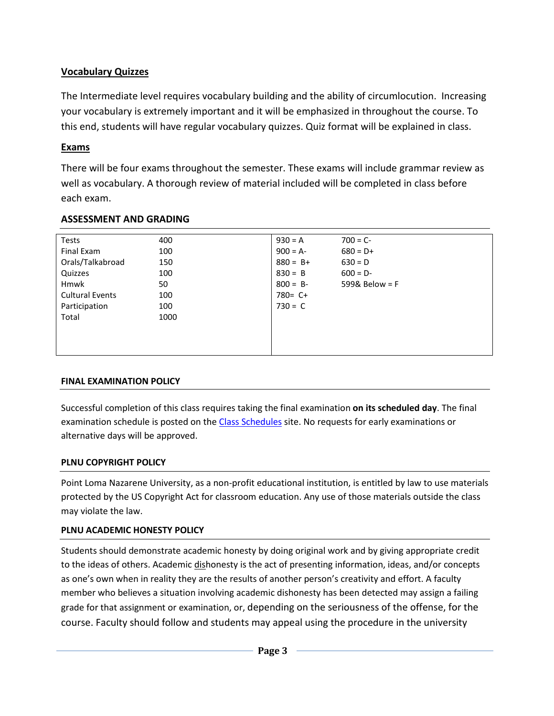# **Vocabulary Quizzes**

The Intermediate level requires vocabulary building and the ability of circumlocution. Increasing your vocabulary is extremely important and it will be emphasized in throughout the course. To this end, students will have regular vocabulary quizzes. Quiz format will be explained in class.

# **Exams**

There will be four exams throughout the semester. These exams will include grammar review as well as vocabulary. A thorough review of material included will be completed in class before each exam.

| Tests                  | 400  | $930 = A$   | $700 = C -$      |
|------------------------|------|-------------|------------------|
| Final Exam             | 100  | $900 = A$   | $680 = D+$       |
| Orals/Talkabroad       | 150  | $880 = B +$ | $630 = D$        |
| Quizzes                | 100  | $830 = B$   | $600 = D -$      |
| Hmwk                   | 50   | $800 = B -$ | 599& Below = $F$ |
| <b>Cultural Events</b> | 100  | $780 = C +$ |                  |
| Participation          | 100  | $730 = C$   |                  |
| Total                  | 1000 |             |                  |
|                        |      |             |                  |
|                        |      |             |                  |
|                        |      |             |                  |

#### **ASSESSMENT AND GRADING**

#### **FINAL EXAMINATION POLICY**

Successful completion of this class requires taking the final examination **on its scheduled day**. The final examination schedule is posted on the [Class Schedules](http://www.pointloma.edu/experience/academics/class-schedules) site. No requests for early examinations or alternative days will be approved.

## **PLNU COPYRIGHT POLICY**

Point Loma Nazarene University, as a non-profit educational institution, is entitled by law to use materials protected by the US Copyright Act for classroom education. Any use of those materials outside the class may violate the law.

## **PLNU ACADEMIC HONESTY POLICY**

Students should demonstrate academic honesty by doing original work and by giving appropriate credit to the ideas of others. Academic dishonesty is the act of presenting information, ideas, and/or concepts as one's own when in reality they are the results of another person's creativity and effort. A faculty member who believes a situation involving academic dishonesty has been detected may assign a failing grade for that assignment or examination, or, depending on the seriousness of the offense, for the course. Faculty should follow and students may appeal using the procedure in the university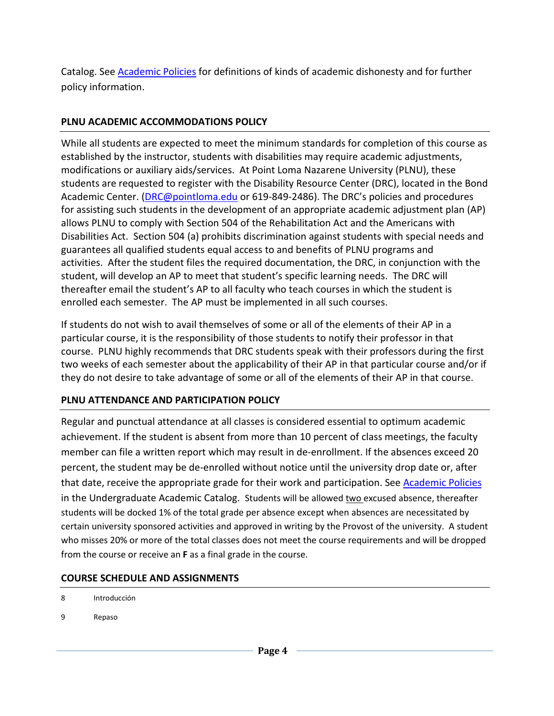Catalog. See [Academic Policies](http://catalog.pointloma.edu/content.php?catoid=18&navoid=1278) for definitions of kinds of academic dishonesty and for further policy information.

## **PLNU ACADEMIC ACCOMMODATIONS POLICY**

While all students are expected to meet the minimum standards for completion of this course as established by the instructor, students with disabilities may require academic adjustments, modifications or auxiliary aids/services. At Point Loma Nazarene University (PLNU), these students are requested to register with the Disability Resource Center (DRC), located in the Bond Academic Center. [\(DRC@pointloma.edu](mailto:DRC@pointloma.edu) or 619-849-2486). The DRC's policies and procedures for assisting such students in the development of an appropriate academic adjustment plan (AP) allows PLNU to comply with Section 504 of the Rehabilitation Act and the Americans with Disabilities Act. Section 504 (a) prohibits discrimination against students with special needs and guarantees all qualified students equal access to and benefits of PLNU programs and activities. After the student files the required documentation, the DRC, in conjunction with the student, will develop an AP to meet that student's specific learning needs. The DRC will thereafter email the student's AP to all faculty who teach courses in which the student is enrolled each semester. The AP must be implemented in all such courses.

If students do not wish to avail themselves of some or all of the elements of their AP in a particular course, it is the responsibility of those students to notify their professor in that course. PLNU highly recommends that DRC students speak with their professors during the first two weeks of each semester about the applicability of their AP in that particular course and/or if they do not desire to take advantage of some or all of the elements of their AP in that course.

# **PLNU ATTENDANCE AND PARTICIPATION POLICY**

Regular and punctual attendance at all classes is considered essential to optimum academic achievement. If the student is absent from more than 10 percent of class meetings, the faculty member can file a written report which may result in de-enrollment. If the absences exceed 20 percent, the student may be de-enrolled without notice until the university drop date or, after that date, receive the appropriate grade for their work and participation. Se[e Academic Policies](http://catalog.pointloma.edu/content.php?catoid=18&navoid=1278) in the Undergraduate Academic Catalog. Students will be allowed two excused absence, thereafter students will be docked 1% of the total grade per absence except when absences are necessitated by certain university sponsored activities and approved in writing by the Provost of the university. A student who misses 20% or more of the total classes does not meet the course requirements and will be dropped from the course or receive an **F** as a final grade in the course.

## **COURSE SCHEDULE AND ASSIGNMENTS**

- 8 Introducción
- 9 Repaso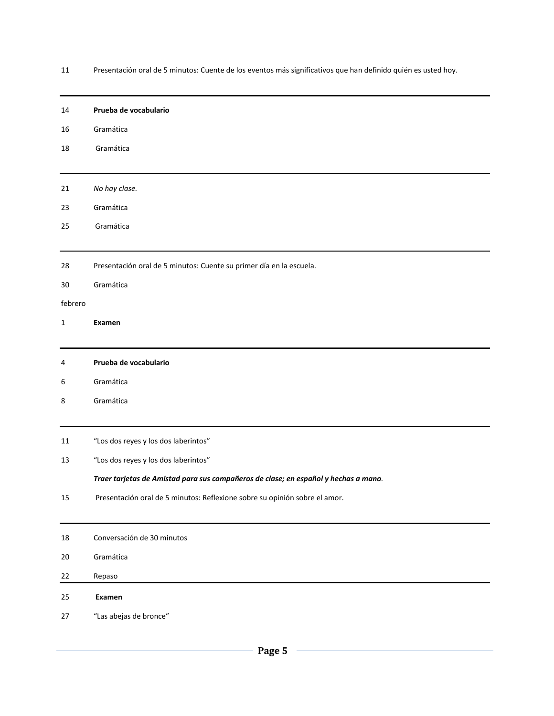Presentación oral de 5 minutos: Cuente de los eventos más significativos que han definido quién es usted hoy.

| 14           | Prueba de vocabulario                                                               |
|--------------|-------------------------------------------------------------------------------------|
| 16           | Gramática                                                                           |
| 18           | Gramática                                                                           |
| 21           | No hay clase.                                                                       |
| 23           | Gramática                                                                           |
| 25           | Gramática                                                                           |
| 28           | Presentación oral de 5 minutos: Cuente su primer día en la escuela.                 |
| 30           | Gramática                                                                           |
| febrero      |                                                                                     |
| $\mathbf{1}$ | Examen                                                                              |
| 4            | Prueba de vocabulario                                                               |
| 6            | Gramática                                                                           |
| 8            | Gramática                                                                           |
| 11           | "Los dos reyes y los dos laberintos"                                                |
| 13           | "Los dos reyes y los dos laberintos"                                                |
|              | Traer tarjetas de Amistad para sus compañeros de clase; en español y hechas a mano. |
| 15           | Presentación oral de 5 minutos: Reflexione sobre su opinión sobre el amor.          |
| $18\,$       | Conversación de 30 minutos                                                          |
| $20\,$       | Gramática                                                                           |
| 22           | Repaso                                                                              |
| 25           | Examen                                                                              |
| 27           | "Las abejas de bronce"                                                              |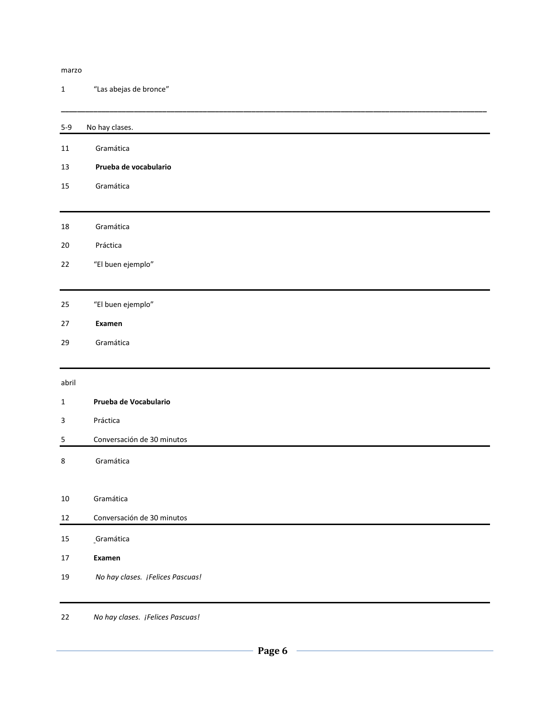#### marzo

"Las abejas de bronce"

| $5-9$                     | No hay clases.                   |
|---------------------------|----------------------------------|
| 11                        | Gramática                        |
| 13                        | Prueba de vocabulario            |
| 15                        | Gramática                        |
|                           |                                  |
| 18                        | Gramática                        |
| $20\,$                    | Práctica                         |
| 22                        | "El buen ejemplo"                |
|                           |                                  |
| 25                        | "El buen ejemplo"                |
| 27                        | Examen                           |
| 29                        | Gramática                        |
|                           |                                  |
| abril                     |                                  |
| $\mathbf 1$               | Prueba de Vocabulario            |
| $\ensuremath{\mathsf{3}}$ | Práctica                         |
| $\mathsf S$               | Conversación de 30 minutos       |
| 8                         | Gramática                        |
|                           |                                  |
| $10\,$                    | Gramática                        |
| 12                        | Conversación de 30 minutos       |
| 15                        | Gramática                        |
| 17                        | Examen                           |
| 19                        | No hay clases. ¡Felices Pascuas! |
|                           |                                  |
| 22                        | No hay clases. ¡Felices Pascuas! |

**\_\_\_\_\_\_\_\_\_\_\_\_\_\_\_\_\_\_\_\_\_\_\_\_\_\_\_\_\_\_\_\_\_\_\_\_\_\_\_\_\_\_\_\_\_\_\_\_\_\_\_\_\_\_\_\_\_\_\_\_\_\_\_\_\_\_\_\_\_\_\_\_\_\_\_\_\_\_\_\_\_\_\_\_\_\_\_\_\_\_\_\_\_\_\_\_\_\_\_\_\_\_\_\_\_**

**Page 6**